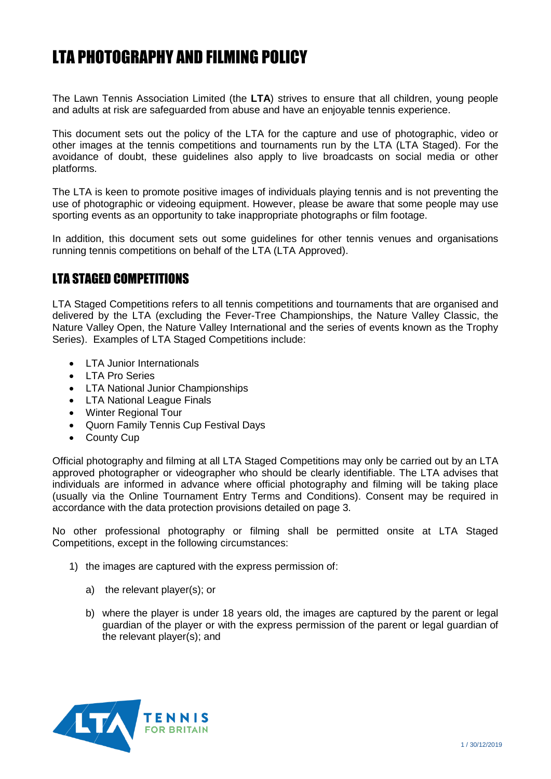# LTA PHOTOGRAPHY AND FILMING POLICY

The Lawn Tennis Association Limited (the **LTA**) strives to ensure that all children, young people and adults at risk are safeguarded from abuse and have an enjoyable tennis experience.

This document sets out the policy of the LTA for the capture and use of photographic, video or other images at the tennis competitions and tournaments run by the LTA (LTA Staged). For the avoidance of doubt, these guidelines also apply to live broadcasts on social media or other platforms.

The LTA is keen to promote positive images of individuals playing tennis and is not preventing the use of photographic or videoing equipment. However, please be aware that some people may use sporting events as an opportunity to take inappropriate photographs or film footage.

In addition, this document sets out some guidelines for other tennis venues and organisations running tennis competitions on behalf of the LTA (LTA Approved).

## LTA STAGED COMPETITIONS

LTA Staged Competitions refers to all tennis competitions and tournaments that are organised and delivered by the LTA (excluding the Fever-Tree Championships, the Nature Valley Classic, the Nature Valley Open, the Nature Valley International and the series of events known as the Trophy Series). Examples of LTA Staged Competitions include:

- LTA Junior Internationals
- LTA Pro Series
- LTA National Junior Championships
- LTA National League Finals
- Winter Regional Tour
- Quorn Family Tennis Cup Festival Days
- County Cup

Official photography and filming at all LTA Staged Competitions may only be carried out by an LTA approved photographer or videographer who should be clearly identifiable. The LTA advises that individuals are informed in advance where official photography and filming will be taking place (usually via the Online Tournament Entry Terms and Conditions). Consent may be required in accordance with the data protection provisions detailed on page 3.

No other professional photography or filming shall be permitted onsite at LTA Staged Competitions, except in the following circumstances:

- 1) the images are captured with the express permission of:
	- a) the relevant player(s); or
	- b) where the player is under 18 years old, the images are captured by the parent or legal guardian of the player or with the express permission of the parent or legal guardian of the relevant player(s); and

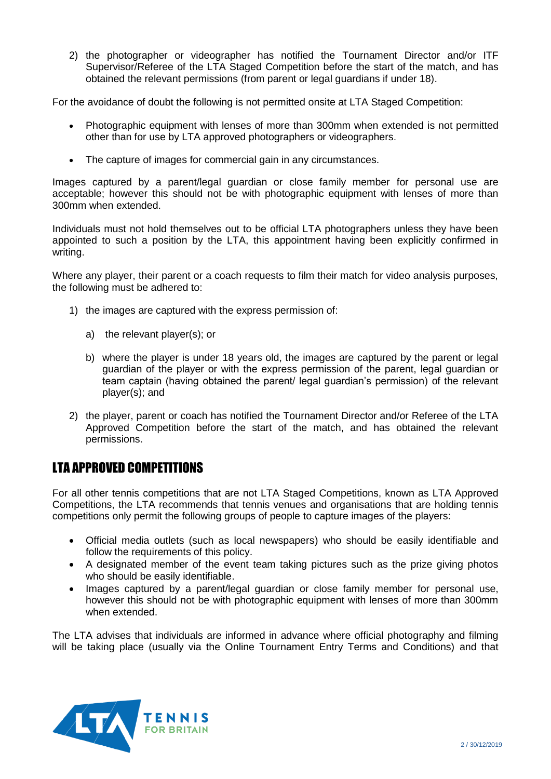2) the photographer or videographer has notified the Tournament Director and/or ITF Supervisor/Referee of the LTA Staged Competition before the start of the match, and has obtained the relevant permissions (from parent or legal guardians if under 18).

For the avoidance of doubt the following is not permitted onsite at LTA Staged Competition:

- Photographic equipment with lenses of more than 300mm when extended is not permitted other than for use by LTA approved photographers or videographers.
- The capture of images for commercial gain in any circumstances.

Images captured by a parent/legal guardian or close family member for personal use are acceptable; however this should not be with photographic equipment with lenses of more than 300mm when extended.

Individuals must not hold themselves out to be official LTA photographers unless they have been appointed to such a position by the LTA, this appointment having been explicitly confirmed in writing.

Where any player, their parent or a coach requests to film their match for video analysis purposes, the following must be adhered to:

- 1) the images are captured with the express permission of:
	- a) the relevant player(s); or
	- b) where the player is under 18 years old, the images are captured by the parent or legal guardian of the player or with the express permission of the parent, legal guardian or team captain (having obtained the parent/ legal guardian's permission) of the relevant player(s); and
- 2) the player, parent or coach has notified the Tournament Director and/or Referee of the LTA Approved Competition before the start of the match, and has obtained the relevant permissions.

## LTA APPROVED COMPETITIONS

For all other tennis competitions that are not LTA Staged Competitions, known as LTA Approved Competitions, the LTA recommends that tennis venues and organisations that are holding tennis competitions only permit the following groups of people to capture images of the players:

- Official media outlets (such as local newspapers) who should be easily identifiable and follow the requirements of this policy.
- A designated member of the event team taking pictures such as the prize giving photos who should be easily identifiable.
- Images captured by a parent/legal guardian or close family member for personal use, however this should not be with photographic equipment with lenses of more than 300mm when extended.

The LTA advises that individuals are informed in advance where official photography and filming will be taking place (usually via the Online Tournament Entry Terms and Conditions) and that

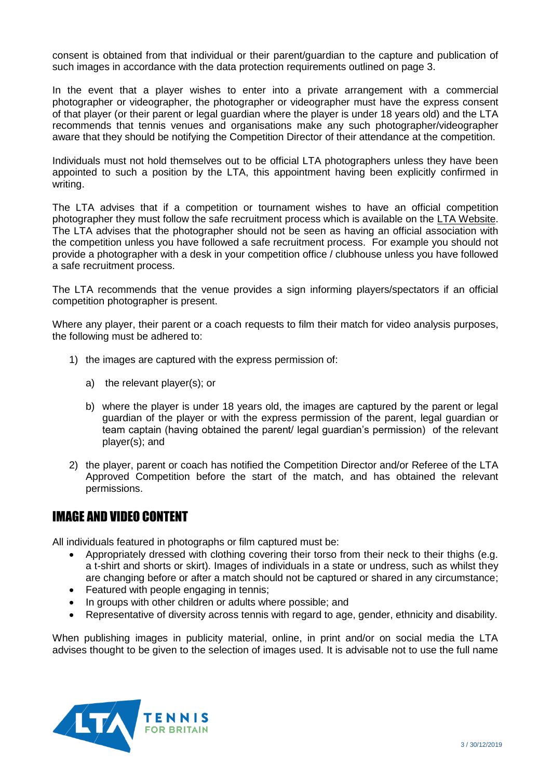consent is obtained from that individual or their parent/guardian to the capture and publication of such images in accordance with the data protection requirements outlined on page 3.

In the event that a player wishes to enter into a private arrangement with a commercial photographer or videographer, the photographer or videographer must have the express consent of that player (or their parent or legal guardian where the player is under 18 years old) and the LTA recommends that tennis venues and organisations make any such photographer/videographer aware that they should be notifying the Competition Director of their attendance at the competition.

Individuals must not hold themselves out to be official LTA photographers unless they have been appointed to such a position by the LTA, this appointment having been explicitly confirmed in writing.

The LTA advises that if a competition or tournament wishes to have an official competition photographer they must follow the safe recruitment process which is available on the [LTA Website.](https://www.lta.org.uk/workforce-venues/tennis-volunteer/safeguarding/?_t_id=1B2M2Y8AsgTpgAmY7PhCfg%3d%3d&_t_q=safe+recruitment&_t_tags=language%3aen%2csiteid%3af3862a05-6b76-4b3c-9179-c99ae142b858&_t_ip=2.217.9.129%3a58807&_t_hit.id=Lta_Models_Pages_ContentPage/_41ad61fc-bec7-4c69-985a-f7ed31e0821f_en-GB&_t_hit.pos=7) The LTA advises that the photographer should not be seen as having an official association with the competition unless you have followed a safe recruitment process. For example you should not provide a photographer with a desk in your competition office / clubhouse unless you have followed a safe recruitment process.

The LTA recommends that the venue provides a sign informing players/spectators if an official competition photographer is present.

Where any player, their parent or a coach requests to film their match for video analysis purposes, the following must be adhered to:

- 1) the images are captured with the express permission of:
	- a) the relevant player(s); or
	- b) where the player is under 18 years old, the images are captured by the parent or legal guardian of the player or with the express permission of the parent, legal guardian or team captain (having obtained the parent/ legal guardian's permission) of the relevant player(s); and
- 2) the player, parent or coach has notified the Competition Director and/or Referee of the LTA Approved Competition before the start of the match, and has obtained the relevant permissions.

#### IMAGE AND VIDEO CONTENT

All individuals featured in photographs or film captured must be:

- Appropriately dressed with clothing covering their torso from their neck to their thighs (e.g. a t-shirt and shorts or skirt). Images of individuals in a state or undress, such as whilst they are changing before or after a match should not be captured or shared in any circumstance;
- Featured with people engaging in tennis;
- In groups with other children or adults where possible; and
- Representative of diversity across tennis with regard to age, gender, ethnicity and disability.

When publishing images in publicity material, online, in print and/or on social media the LTA advises thought to be given to the selection of images used. It is advisable not to use the full name